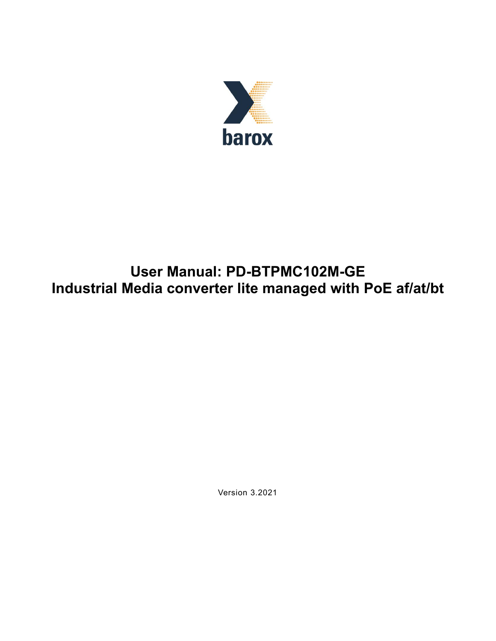

# **User Manual: PD-BTPMC102M-GE Industrial Media converter lite managed with PoE af/at/bt**

Version 3.2021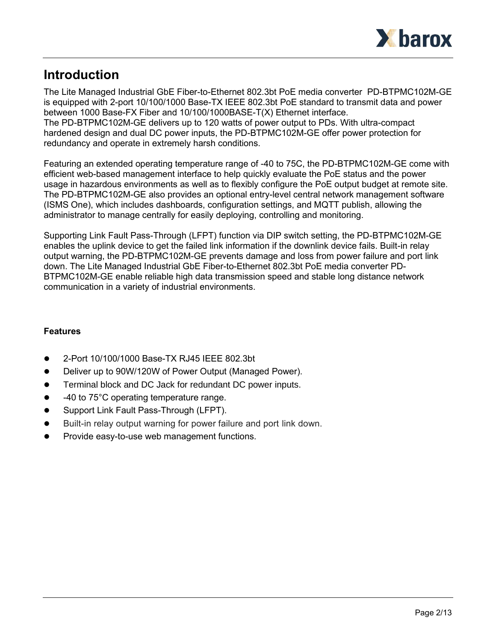

# **Introduction**

The Lite Managed Industrial GbE Fiber-to-Ethernet 802.3bt PoE media converter PD-BTPMC102M-GE is equipped with 2-port 10/100/1000 Base-TX IEEE 802.3bt PoE standard to transmit data and power between 1000 Base-FX Fiber and 10/100/1000BASE-T(X) Ethernet interface. The PD-BTPMC102M-GE delivers up to 120 watts of power output to PDs. With ultra-compact hardened design and dual DC power inputs, the PD-BTPMC102M-GE offer power protection for redundancy and operate in extremely harsh conditions.

Featuring an extended operating temperature range of -40 to 75C, the PD-BTPMC102M-GE come with efficient web-based management interface to help quickly evaluate the PoE status and the power usage in hazardous environments as well as to flexibly configure the PoE output budget at remote site. The PD-BTPMC102M-GE also provides an optional entry-level central network management software (ISMS One), which includes dashboards, configuration settings, and MQTT publish, allowing the administrator to manage centrally for easily deploying, controlling and monitoring.

Supporting Link Fault Pass-Through (LFPT) function via DIP switch setting, the PD-BTPMC102M-GE enables the uplink device to get the failed link information if the downlink device fails. Built-in relay output warning, the PD-BTPMC102M-GE prevents damage and loss from power failure and port link down. The Lite Managed Industrial GbE Fiber-to-Ethernet 802.3bt PoE media converter PD-BTPMC102M-GE enable reliable high data transmission speed and stable long distance network communication in a variety of industrial environments.

# **Features**

- ⚫ 2-Port 10/100/1000 Base-TX RJ45 IEEE 802.3bt
- ⚫ Deliver up to 90W/120W of Power Output (Managed Power).
- Terminal block and DC Jack for redundant DC power inputs.
- 40 to 75°C operating temperature range.
- Support Link Fault Pass-Through (LFPT).
- ⚫ Built-in relay output warning for power failure and port link down.
- ⚫ Provide easy-to-use web management functions.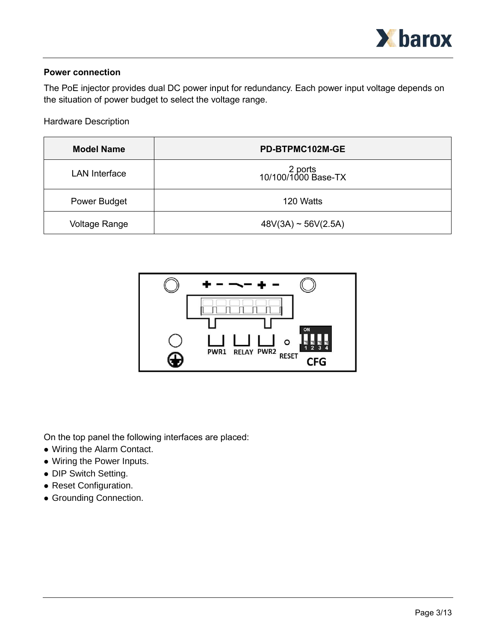

#### **Power connection**

The PoE injector provides dual DC power input for redundancy. Each power input voltage depends on the situation of power budget to select the voltage range.

Hardware Description

| <b>Model Name</b>    | PD-BTPMC102M-GE                |
|----------------------|--------------------------------|
| <b>LAN</b> Interface | 2 ports<br>10/100/1000 Base-TX |
| Power Budget         | 120 Watts                      |
| <b>Voltage Range</b> | $48V(3A) \sim 56V(2.5A)$       |



On the top panel the following interfaces are placed:

- ⚫ Wiring the Alarm Contact.
- ⚫ Wiring the Power Inputs.
- ⚫ DIP Switch Setting.
- ⚫ Reset Configuration.
- ⚫ Grounding Connection.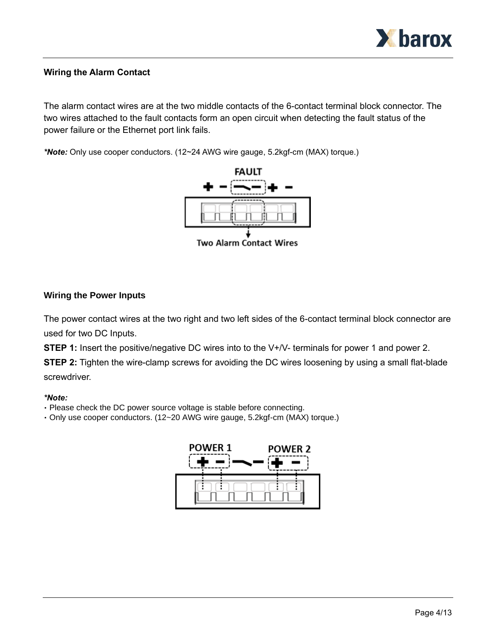

## **Wiring the Alarm Contact**

The alarm contact wires are at the two middle contacts of the 6-contact terminal block connector. The two wires attached to the fault contacts form an open circuit when detecting the fault status of the power failure or the Ethernet port link fails.

*\*Note:* Only use cooper conductors. (12~24 AWG wire gauge, 5.2kgf-cm (MAX) torque.)



**Two Alarm Contact Wires** 

#### **Wiring the Power Inputs**

The power contact wires at the two right and two left sides of the 6-contact terminal block connector are used for two DC Inputs.

**STEP 1:** Insert the positive/negative DC wires into to the V+/V- terminals for power 1 and power 2.

**STEP 2:** Tighten the wire-clamp screws for avoiding the DC wires loosening by using a small flat-blade screwdriver.

#### *\*Note:*

- Please check the DC power source voltage is stable before connecting.
- Only use cooper conductors. (12~20 AWG wire gauge, 5.2kgf-cm (MAX) torque.)

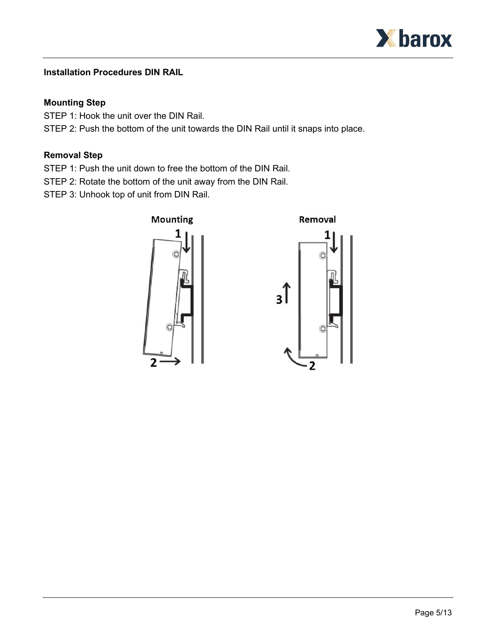

# **Installation Procedures DIN RAIL**

## **Mounting Step**

STEP 1: Hook the unit over the DIN Rail.

STEP 2: Push the bottom of the unit towards the DIN Rail until it snaps into place.

# **Removal Step**

STEP 1: Push the unit down to free the bottom of the DIN Rail.

STEP 2: Rotate the bottom of the unit away from the DIN Rail.

STEP 3: Unhook top of unit from DIN Rail.



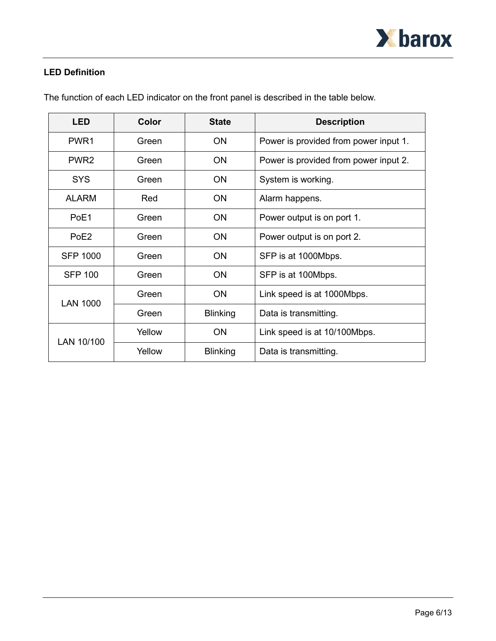

# **LED Definition**

| <b>LED</b>       | <b>Color</b> | <b>State</b>    | <b>Description</b>                    |
|------------------|--------------|-----------------|---------------------------------------|
| PWR <sub>1</sub> | Green        | <b>ON</b>       | Power is provided from power input 1. |
| PWR <sub>2</sub> | Green        | <b>ON</b>       | Power is provided from power input 2. |
| <b>SYS</b>       | Green        | <b>ON</b>       | System is working.                    |
| <b>ALARM</b>     | Red          | <b>ON</b>       | Alarm happens.                        |
| PoF1             | Green        | <b>ON</b>       | Power output is on port 1.            |
| PoE2             | Green        | <b>ON</b>       | Power output is on port 2.            |
| <b>SFP 1000</b>  | Green        | <b>ON</b>       | SFP is at 1000Mbps.                   |
| <b>SFP 100</b>   | Green        | <b>ON</b>       | SFP is at 100Mbps.                    |
| <b>LAN 1000</b>  | Green        | <b>ON</b>       | Link speed is at 1000Mbps.            |
|                  | Green        | <b>Blinking</b> | Data is transmitting.                 |
| LAN 10/100       | Yellow       | <b>ON</b>       | Link speed is at 10/100Mbps.          |
|                  | Yellow       | <b>Blinking</b> | Data is transmitting.                 |

The function of each LED indicator on the front panel is described in the table below.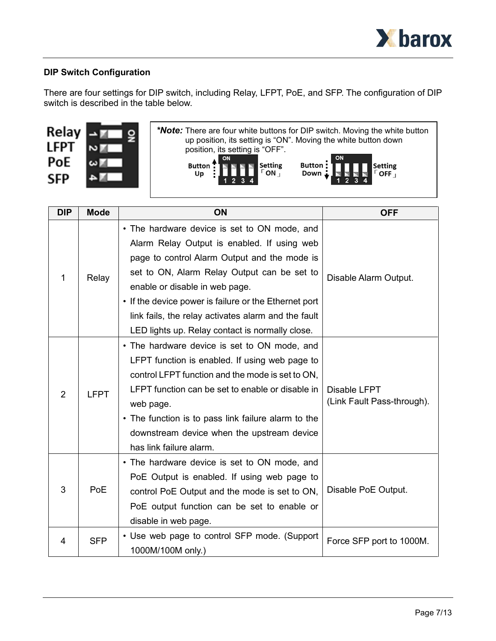

# **DIP Switch Configuration**

There are four settings for DIP switch, including Relay, LFPT, PoE, and SFP. The configuration of DIP switch is described in the table below.

| Relay<br>LFPT     | * <b>Note:</b> There are four white buttons for DIP switch. Moving the white button<br>up position, its setting is "ON". Moving the white button down<br>position, its setting is "OFF". |
|-------------------|------------------------------------------------------------------------------------------------------------------------------------------------------------------------------------------|
| PoE<br><b>SFP</b> | Button:<br><b>THE Setting</b><br>Button : 1<br>Setting<br><b>FOFF</b><br>Down :<br>Up                                                                                                    |

| <b>DIP</b>     | <b>Mode</b>                                                                                                                                                                                       | <b>ON</b>                                                                                                                                                                                                                                                                                                                                           | <b>OFF</b>                                 |
|----------------|---------------------------------------------------------------------------------------------------------------------------------------------------------------------------------------------------|-----------------------------------------------------------------------------------------------------------------------------------------------------------------------------------------------------------------------------------------------------------------------------------------------------------------------------------------------------|--------------------------------------------|
| 1<br>Relay     | • The hardware device is set to ON mode, and<br>Alarm Relay Output is enabled. If using web<br>page to control Alarm Output and the mode is<br>set to ON, Alarm Relay Output can be set to        |                                                                                                                                                                                                                                                                                                                                                     |                                            |
|                | enable or disable in web page.<br>• If the device power is failure or the Ethernet port<br>link fails, the relay activates alarm and the fault<br>LED lights up. Relay contact is normally close. | Disable Alarm Output.                                                                                                                                                                                                                                                                                                                               |                                            |
| $\overline{2}$ | <b>LFPT</b>                                                                                                                                                                                       | • The hardware device is set to ON mode, and<br>LFPT function is enabled. If using web page to<br>control LFPT function and the mode is set to ON,<br>LFPT function can be set to enable or disable in<br>web page.<br>• The function is to pass link failure alarm to the<br>downstream device when the upstream device<br>has link failure alarm. | Disable LFPT<br>(Link Fault Pass-through). |
| 3              | <b>PoE</b>                                                                                                                                                                                        | • The hardware device is set to ON mode, and<br>PoE Output is enabled. If using web page to<br>control PoE Output and the mode is set to ON,<br>PoE output function can be set to enable or<br>disable in web page.                                                                                                                                 | Disable PoE Output.                        |
| 4              | <b>SFP</b>                                                                                                                                                                                        | • Use web page to control SFP mode. (Support<br>1000M/100M only.)                                                                                                                                                                                                                                                                                   | Force SFP port to 1000M.                   |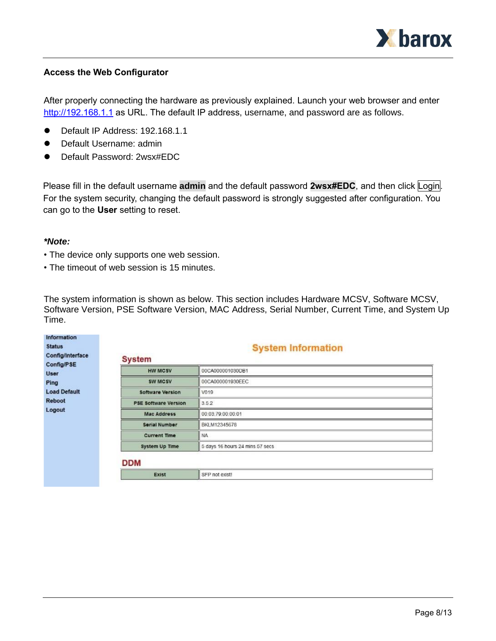

#### **Access the Web Configurator**

After properly connecting the hardware as previously explained. Launch your web browser and enter [http://192.168.1.1](http://192.168.1.1/) as URL. The default IP address, username, and password are as follows.

- ⚫ Default IP Address: 192.168.1.1
- Default Username: admin
- ⚫ Default Password: 2wsx#EDC

Please fill in the default username **admin** and the default password **2wsx#EDC**, and then click Login. For the system security, changing the default password is strongly suggested after configuration. You can go to the **User** setting to reset.

#### *\*Note:*

- The device only supports one web session.
- The timeout of web session is 15 minutes.

The system information is shown as below. This section includes Hardware MCSV, Software MCSV, Software Version, PSE Software Version, MAC Address, Serial Number, Current Time, and System Up Time.

| <b>Status</b><br>Config/Interface | <b>System Information</b><br><b>System</b> |                                 |  |  |  |  |
|-----------------------------------|--------------------------------------------|---------------------------------|--|--|--|--|
| Config/PSE<br>User                | <b>HW MCSV</b>                             | 00CA000001030DB1                |  |  |  |  |
| Ping                              | SW MCSV                                    | 00CA000001930EEC                |  |  |  |  |
| <b>Load Default</b>               | <b>Software Version</b>                    | V019                            |  |  |  |  |
| <b>Reboot</b>                     | <b>PSE Software Version</b>                | 3.5.2                           |  |  |  |  |
| Logout                            | <b>Mac Address</b>                         | 00:03:79:00:00:01               |  |  |  |  |
|                                   | <b>Serial Number</b>                       | BKLM12345678                    |  |  |  |  |
|                                   | <b>Current Time</b>                        | NA.                             |  |  |  |  |
|                                   | System Up Time                             | 5 days 16 hours 24 mins 57 secs |  |  |  |  |
|                                   | <b>DDM</b>                                 |                                 |  |  |  |  |
|                                   | <b>Exist</b>                               | SFP not exist!                  |  |  |  |  |

# Page 8/13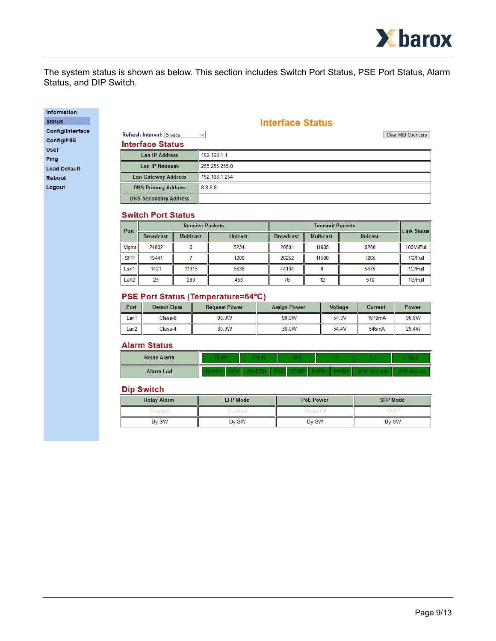

The system status is shown as below. This section includes Switch Port Status, PSE Port Status, Alarm Status, and DIP Switch.

#### Information **Status**

Config/Interface Config/PSE User Ping **Load Default** Reboot Logout

#### **Interface Status**

| Refresh Interval: 5 secs     | $\ddot{}$     | Clear MIB Counters |
|------------------------------|---------------|--------------------|
| <b>Interface Status</b>      |               |                    |
| Lan IP Address               | 192.168.1.1   |                    |
| <b>Lan IP Netmask</b>        | 255.255.255.0 |                    |
| <b>Lan Gateway Address</b>   | 192.168.1.254 |                    |
| <b>DNS Primary Address</b>   | 8.8.8.8       |                    |
| <b>DNS Secondary Address</b> |               |                    |

#### **Switch Port Status**

|                  |                  | <b>Receive Packets</b> |                |                  | <b>Transmit Packets</b> |                |                    |  |
|------------------|------------------|------------------------|----------------|------------------|-------------------------|----------------|--------------------|--|
| Port             | <b>Broadcast</b> | <b>Multicast</b>       | <b>Unicast</b> | <b>Broadcast</b> | <b>Multicast</b>        | <b>Unicast</b> | <b>Link Status</b> |  |
| <b>Mamt</b>      | 24802            |                        | 5234           | 20891            | 11605                   | 5280           | 100M/Full          |  |
| <b>SFP</b>       | 19441            |                        | 1200           | 26252            | 11598                   | 1265           | 1G/Full            |  |
| Lan <sup>1</sup> | 1421             | 11315                  | 5638           | 44134            |                         | 5475           | 1G/Full            |  |
| Lan2             | 29               | 283                    | 458            | 76               |                         | 510            | 1G/Full            |  |

#### **PSE Port Status (Temperature=64°C)**

| Port | <b>Detect Class</b> | <b>Request Power</b> | <b>Assign Power</b> | Voltage | Current | Power |
|------|---------------------|----------------------|---------------------|---------|---------|-------|
| Lan1 | Class-8             | 90.0W                | 90.0W               | 54.3V   | 1679mA  | 90.8W |
| Lan2 | Class-4             | 30.0W                | 30.0W               | 54.4V   | 546mA   | 29.4W |

#### **Alarm Status**

| <b>Relay Alarm</b> |  | 89 |  |  |
|--------------------|--|----|--|--|
| <b>Alarm Led</b>   |  |    |  |  |

#### **Dip Switch**

| <b>Relay Alarm</b> | <b>LFP Mode</b> | <b>PoE Power</b> | <b>SFP Mode</b> |
|--------------------|-----------------|------------------|-----------------|
| <b>Disabled</b>    | <b>Disabled</b> | Power Off        | 1000M           |
| By SW              | By SW           | By SW            | By SW           |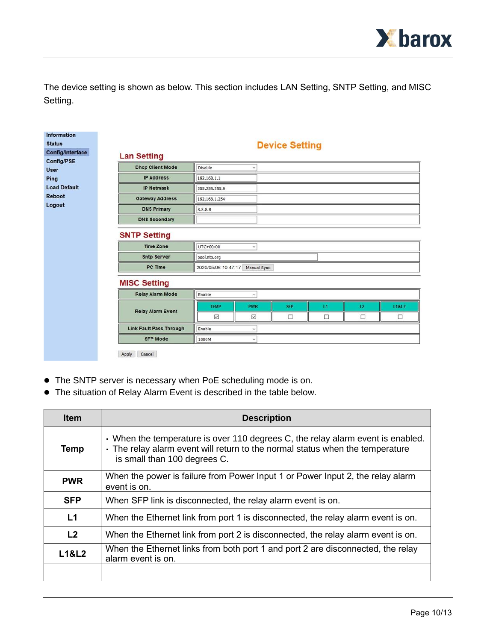

The device setting is shown as below. This section includes LAN Setting, SNTP Setting, and MISC Setting.

| <b>Information</b><br><b>Status</b><br>Config/Interface | <b>Lan Setting</b>                      |                     |              | <b>Device Setting</b> |    |    |                  |
|---------------------------------------------------------|-----------------------------------------|---------------------|--------------|-----------------------|----|----|------------------|
| Config/PSE                                              | <b>Dhcp Client Mode</b>                 | Disable             | $\checkmark$ |                       |    |    |                  |
| <b>User</b><br>Ping                                     | <b>IP Address</b>                       | 192.168.1.1         |              |                       |    |    |                  |
| <b>Load Default</b>                                     | <b>IP Netmask</b>                       | 255.255.255.0       |              |                       |    |    |                  |
| <b>Reboot</b>                                           |                                         |                     |              |                       |    |    |                  |
|                                                         | <b>Gateway Address</b>                  | 192.168.1.254       |              |                       |    |    |                  |
| Logout                                                  | <b>DNS Primary</b>                      | 8.8.8.8             |              |                       |    |    |                  |
|                                                         | <b>DNS Secondary</b>                    |                     |              |                       |    |    |                  |
|                                                         | <b>SNTP Setting</b><br><b>Time Zone</b> | UTC+00:00           | $\checkmark$ |                       |    |    |                  |
|                                                         | <b>Sntp Server</b>                      | pool.ntp.org        |              |                       |    |    |                  |
|                                                         | PC Time                                 | 2020/05/06 10:47:17 | Manual Sync  |                       |    |    |                  |
|                                                         | <b>MISC Setting</b>                     |                     |              |                       |    |    |                  |
|                                                         | <b>Relay Alarm Mode</b>                 | Enable              | $\checkmark$ |                       |    |    |                  |
|                                                         |                                         | <b>TEMP</b>         | <b>PWR</b>   | <b>SFP</b>            | L1 | L2 | <b>L1&amp;L2</b> |
|                                                         | <b>Relay Alarm Event</b>                | ☑                   | ☑            | с                     | □  | □  | □                |
|                                                         | <b>Link Fault Pass Through</b>          | Enable              | $\checkmark$ |                       |    |    |                  |
|                                                         | <b>SFP Mode</b>                         | 1000M               | $\checkmark$ |                       |    |    |                  |
|                                                         | Cancel<br>Apply                         |                     |              |                       |    |    |                  |

- ⚫ The SNTP server is necessary when PoE scheduling mode is on.
- ⚫ The situation of Relay Alarm Event is described in the table below.

| <b>Item</b>      | <b>Description</b>                                                                                                                                                                               |
|------------------|--------------------------------------------------------------------------------------------------------------------------------------------------------------------------------------------------|
| Temp             | . When the temperature is over 110 degrees C, the relay alarm event is enabled.<br>. The relay alarm event will return to the normal status when the temperature<br>is small than 100 degrees C. |
| <b>PWR</b>       | When the power is failure from Power Input 1 or Power Input 2, the relay alarm<br>event is on.                                                                                                   |
| <b>SFP</b>       | When SFP link is disconnected, the relay alarm event is on.                                                                                                                                      |
| L1               | When the Ethernet link from port 1 is disconnected, the relay alarm event is on.                                                                                                                 |
| L <sub>2</sub>   | When the Ethernet link from port 2 is disconnected, the relay alarm event is on.                                                                                                                 |
| <b>L1&amp;L2</b> | When the Ethernet links from both port 1 and port 2 are disconnected, the relay<br>alarm event is on.                                                                                            |
|                  |                                                                                                                                                                                                  |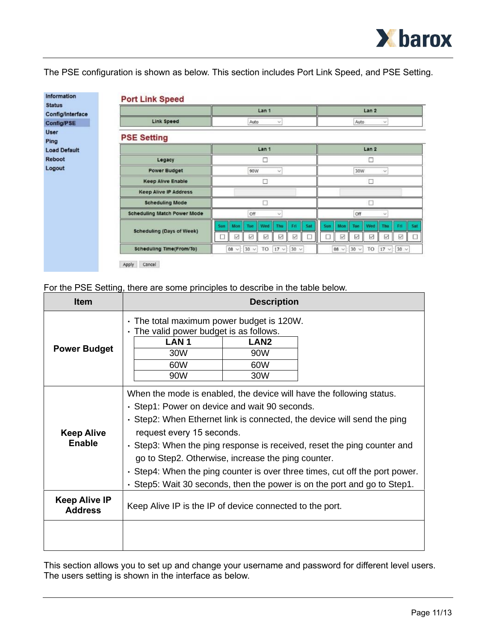

The PSE configuration is shown as below. This section includes Port Link Speed, and PSE Setting.

| <b>Status</b><br>Config/Interface |                                    | Lan <sub>1</sub>                                                                           | Lan <sub>2</sub>                                                            |  |
|-----------------------------------|------------------------------------|--------------------------------------------------------------------------------------------|-----------------------------------------------------------------------------|--|
| Config/PSE                        | Link Speed                         | Auto<br>$\sim$                                                                             | Auto<br>$\mathcal{M}$                                                       |  |
| <b>User</b><br>Ping               | <b>PSE Setting</b>                 |                                                                                            |                                                                             |  |
| <b>Load Default</b>               |                                    | Lan <sub>1</sub>                                                                           | Lan <sub>2</sub>                                                            |  |
| <b>Reboot</b>                     | Legacy                             | D                                                                                          | □                                                                           |  |
| Logout                            | <b>Power Budget</b>                | 90W<br>30W<br>$\sim$<br>$\checkmark$                                                       |                                                                             |  |
|                                   | <b>Keep Alive Enable</b>           |                                                                                            | г                                                                           |  |
|                                   | <b>Keep Alive IP Address</b>       |                                                                                            |                                                                             |  |
|                                   | <b>Scheduling Mode</b>             |                                                                                            |                                                                             |  |
|                                   | <b>Scheduling Match Power Mode</b> | Off<br>$\sim$                                                                              | Off<br>$\omega$                                                             |  |
|                                   | <b>Scheduling (Days of Week)</b>   | Mon<br>Tue<br>Wed<br>Sat<br>Fri<br>Sun<br>Thu<br>Ø<br>☑<br>M<br>$\triangleright$<br>V<br>Ш | Sat<br>Mon<br>Wed<br>Eri<br>Sun<br>Tue<br>Thu<br>α<br>☑<br>Z<br>☑<br>V<br>M |  |
|                                   | <b>Scheduling Time(From/To)</b>    | $17 \vee$<br>$30 \vee$<br>$30 \vee$<br>TO<br>$08 \times$                                   | $17 \times 30 \times$<br>$08 \vee$<br>$30 \vee$<br>TO                       |  |

## For the PSE Setting, there are some principles to describe in the table below.

| <b>Item</b>                            | <b>Description</b>                                                                                                                                                                                                                                                                                                                                                                                                                                                                                                        |                                       |  |
|----------------------------------------|---------------------------------------------------------------------------------------------------------------------------------------------------------------------------------------------------------------------------------------------------------------------------------------------------------------------------------------------------------------------------------------------------------------------------------------------------------------------------------------------------------------------------|---------------------------------------|--|
| <b>Power Budget</b>                    | . The total maximum power budget is 120W.<br>The valid power budget is as follows.<br>LAN <sub>1</sub><br>30W<br>60W<br>90W                                                                                                                                                                                                                                                                                                                                                                                               | LAN <sub>2</sub><br>90W<br>60W<br>30W |  |
| <b>Keep Alive</b><br>Enable            | When the mode is enabled, the device will have the following status.<br>• Step1: Power on device and wait 90 seconds.<br>• Step2: When Ethernet link is connected, the device will send the ping<br>request every 15 seconds.<br>• Step3: When the ping response is received, reset the ping counter and<br>go to Step2. Otherwise, increase the ping counter.<br>• Step4: When the ping counter is over three times, cut off the port power.<br>. Step5: Wait 30 seconds, then the power is on the port and go to Step1. |                                       |  |
| <b>Keep Alive IP</b><br><b>Address</b> | Keep Alive IP is the IP of device connected to the port.                                                                                                                                                                                                                                                                                                                                                                                                                                                                  |                                       |  |
|                                        |                                                                                                                                                                                                                                                                                                                                                                                                                                                                                                                           |                                       |  |

This section allows you to set up and change your username and password for different level users. The users setting is shown in the interface as below.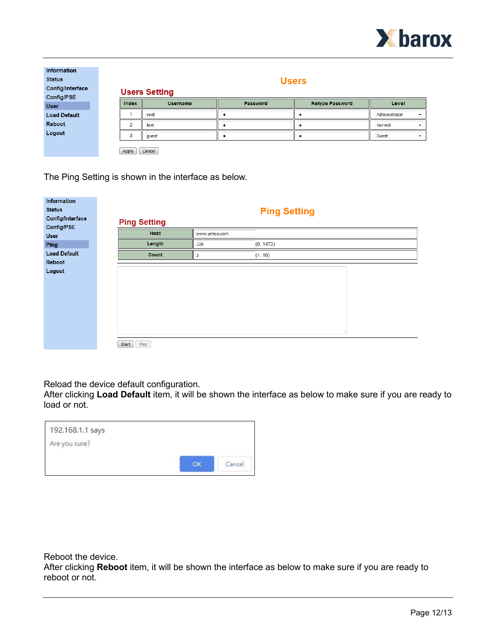

| <b>Information</b><br><b>Status</b><br>Config/Interface<br>Config/PSE |                | <b>Users</b><br><b>Users Setting</b> |          |                        |               |
|-----------------------------------------------------------------------|----------------|--------------------------------------|----------|------------------------|---------------|
| <b>User</b>                                                           | Index          | <b>Username</b>                      | Password | <b>Retype Password</b> | Level         |
| <b>Load Default</b>                                                   |                | root                                 |          |                        | Administrator |
| Reboot                                                                | $\overline{ }$ | test                                 |          |                        | Normal        |
| Logout                                                                | 3              | guest                                |          |                        | Guest         |
|                                                                       | Apply          | Cancel                               |          |                        |               |

The Ping Setting is shown in the interface as below.

| Information         |                     |                         |                     |  |
|---------------------|---------------------|-------------------------|---------------------|--|
| <b>Status</b>       |                     |                         | <b>Ping Setting</b> |  |
| Config/Interface    | <b>Ping Setting</b> |                         |                     |  |
| Config/PSE          |                     |                         |                     |  |
| <b>User</b>         | Host                | www.yahoo.com           |                     |  |
| Ping                | Length              | 100                     | (01472)             |  |
| <b>Load Default</b> | Count               | $\overline{\mathbf{3}}$ | (110)               |  |
| Reboot              |                     |                         |                     |  |
| Logout              |                     |                         |                     |  |
|                     |                     |                         |                     |  |
|                     |                     |                         |                     |  |
|                     |                     |                         |                     |  |
|                     |                     |                         |                     |  |
|                     |                     |                         |                     |  |
|                     |                     |                         |                     |  |
|                     |                     |                         |                     |  |
|                     |                     |                         | af.                 |  |
|                     | Start<br>Stop       |                         |                     |  |

Reload the device default configuration.

After clicking **Load Default** item, it will be shown the interface as below to make sure if you are ready to load or not.

| 192.168.1.1 says |    |        |
|------------------|----|--------|
| Are you sure?    |    |        |
|                  | OK | Cancel |

Reboot the device.

After clicking **Reboot** item, it will be shown the interface as below to make sure if you are ready to reboot or not.